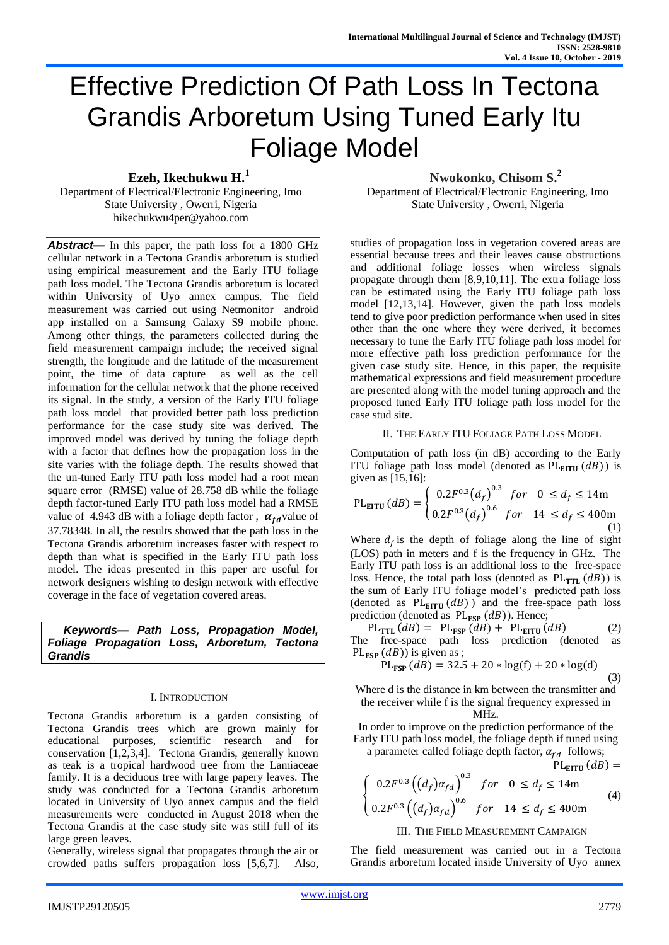# Effective Prediction Of Path Loss In Tectona Grandis Arboretum Using Tuned Early Itu Foliage Model

**Ezeh, Ikechukwu H.<sup>1</sup>** Department of Electrical/Electronic Engineering, Imo State University , Owerri, Nigeria hikechukwu4per@yahoo.com

*Abstract—* In this paper, the path loss for a 1800 GHz cellular network in a Tectona Grandis arboretum is studied using empirical measurement and the Early ITU foliage path loss model. The Tectona Grandis arboretum is located within University of Uyo annex campus. The field measurement was carried out using Netmonitor android app installed on a Samsung Galaxy S9 mobile phone. Among other things, the parameters collected during the field measurement campaign include; the received signal strength, the longitude and the latitude of the measurement point, the time of data capture as well as the cell information for the cellular network that the phone received its signal. In the study, a version of the Early ITU foliage path loss model that provided better path loss prediction performance for the case study site was derived. The improved model was derived by tuning the foliage depth with a factor that defines how the propagation loss in the site varies with the foliage depth. The results showed that the un-tuned Early ITU path loss model had a root mean square error (RMSE) value of 28.758 dB while the foliage depth factor-tuned Early ITU path loss model had a RMSE value of 4.943 dB with a foliage depth factor,  $\alpha_{fd}$  value of 37.78348. In all, the results showed that the path loss in the Tectona Grandis arboretum increases faster with respect to depth than what is specified in the Early ITU path loss model. The ideas presented in this paper are useful for network designers wishing to design network with effective coverage in the face of vegetation covered areas.

*Keywords— Path Loss, Propagation Model, Foliage Propagation Loss, Arboretum, Tectona Grandis*

### I. INTRODUCTION

Tectona Grandis arboretum is a garden consisting of Tectona Grandis trees which are grown mainly for educational purposes, scientific research and for conservation [1,2,3,4]. Tectona Grandis, generally known as teak is a tropical hardwood tree from the Lamiaceae family. It is a deciduous tree with large papery leaves. The study was conducted for a Tectona Grandis arboretum located in University of Uyo annex campus and the field measurements were conducted in August 2018 when the Tectona Grandis at the case study site was still full of its large green leaves.

Generally, wireless signal that propagates through the air or crowded paths suffers propagation loss [5,6,7]. Also,

**Nwokonko, Chisom S. 2**

Department of Electrical/Electronic Engineering, Imo State University , Owerri, Nigeria

studies of propagation loss in vegetation covered areas are essential because trees and their leaves cause obstructions and additional foliage losses when wireless signals propagate through them [8,9,10,11]. The extra foliage loss can be estimated using the Early ITU foliage path loss model [12,13,14]. However, given the path loss models tend to give poor prediction performance when used in sites other than the one where they were derived, it becomes necessary to tune the Early ITU foliage path loss model for more effective path loss prediction performance for the given case study site. Hence, in this paper, the requisite mathematical expressions and field measurement procedure are presented along with the model tuning approach and the proposed tuned Early ITU foliage path loss model for the case stud site.

### II. THE EARLY ITU FOLIAGE PATH LOSS MODEL

Computation of path loss (in dB) according to the Early ITU foliage path loss model (denoted as  $PL_{\text{EITU}}(dB)$ ) is given as [15,16]:

$$
PL_{\text{EITU}}(dB) = \begin{cases} 0.2F^{0.3} (d_f)^{0.3} & \text{for} \quad 0 \le d_f \le 14\text{m} \\ 0.2F^{0.3} (d_f)^{0.6} & \text{for} \quad 14 \le d_f \le 400\text{m} \end{cases} \tag{1}
$$

Where  $d_f$  is the depth of foliage along the line of sight (LOS) path in meters and f is the frequency in GHz. The Early ITU path loss is an additional loss to the free-space loss. Hence, the total path loss (denoted as  $PL_{\text{TTL}}(dB)$ ) is the sum of Early ITU foliage model's predicted path loss (denoted as  $PL_{\text{EITU}}(dB)$ ) and the free-space path loss prediction (denoted as  $PL_{\text{FSP}}(dB)$ ). Hence;

 $PL_{\text{TTL}}(dB) = PL_{\text{FSP}}(dB) + PL_{\text{EITU}}(dB)$  (2) The free-space path loss prediction (denoted as  $PL_{\text{FSP}}(dB)$ ) is given as ;

$$
PL_{\text{FSP}}(d\tilde{B}) = 32.5 + 20 * \log(f) + 20 * \log(d)
$$
\n(3)

Where d is the distance in km between the transmitter and the receiver while f is the signal frequency expressed in MHz.

In order to improve on the prediction performance of the Early ITU path loss model, the foliage depth if tuned using

a parameter called foliage depth factor,  $\alpha_{fd}$  follows;  $(AD) =$ 

$$
\begin{cases}\n0.2F^{0.3}((d_f)\alpha_{fd})^{0.3} & \text{for } 0 \le d_f \le 14\,\text{m} \\
0.2F^{0.3}((d_f)\alpha_{fd})^{0.6} & \text{for } 14 \le d_f \le 400\,\text{m}\n\end{cases} (4)
$$

III. THE FIELD MEASUREMENT CAMPAIGN

The field measurement was carried out in a Tectona Grandis arboretum located inside University of Uyo annex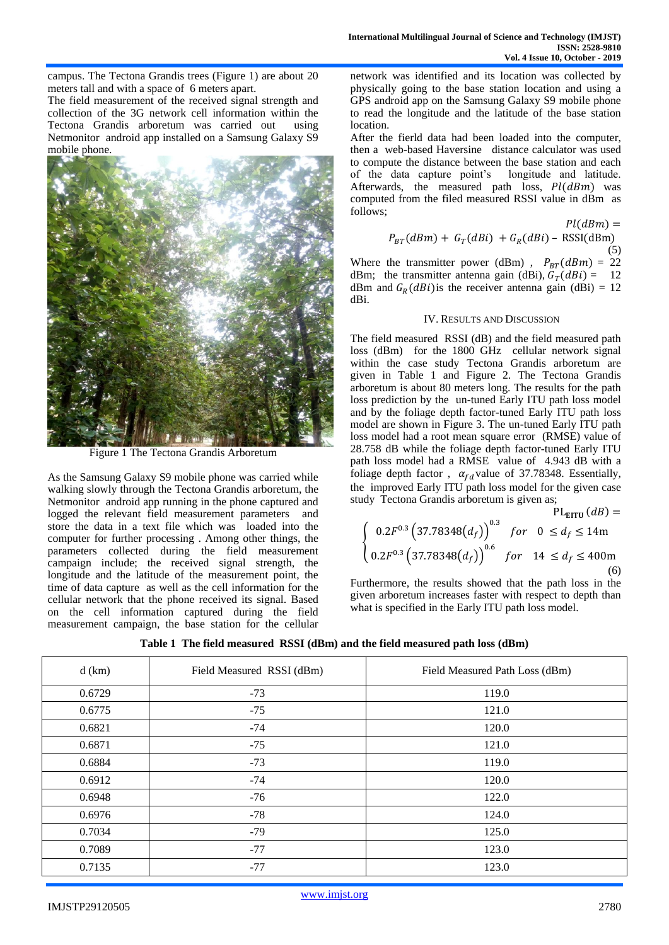campus. The Tectona Grandis trees (Figure 1) are about 20 meters tall and with a space of 6 meters apart.

The field measurement of the received signal strength and collection of the 3G network cell information within the Tectona Grandis arboretum was carried out using Netmonitor android app installed on a Samsung Galaxy S9 mobile phone.



Figure 1 The Tectona Grandis Arboretum

As the Samsung Galaxy S9 mobile phone was carried while walking slowly through the Tectona Grandis arboretum, the Netmonitor android app running in the phone captured and logged the relevant field measurement parameters and store the data in a text file which was loaded into the computer for further processing . Among other things, the parameters collected during the field measurement campaign include; the received signal strength, the longitude and the latitude of the measurement point, the time of data capture as well as the cell information for the cellular network that the phone received its signal. Based on the cell information captured during the field measurement campaign, the base station for the cellular

network was identified and its location was collected by physically going to the base station location and using a GPS android app on the Samsung Galaxy S9 mobile phone to read the longitude and the latitude of the base station location.

After the fierld data had been loaded into the computer, then a web-based Haversine distance calculator was used to compute the distance between the base station and each of the data capture point's longitude and latitude. Afterwards, the measured path loss,  $Pl(dBm)$  was computed from the filed measured RSSI value in dBm as follows;

$$
P_{BT}(dBm) + G_T(dBi) + G_R(dBi) - RSSI(dBm)
$$
\n(5)

Where the transmitter power (dBm),  $P_{BT}(dBm) = 22$ dBm; the transmitter antenna gain (dBi),  $G_T(dBi) = 12$ dBm and  $G_R(dBi)$  is the receiver antenna gain (dBi) = 12 dBi.

#### IV. RESULTS AND DISCUSSION

The field measured RSSI (dB) and the field measured path loss (dBm) for the 1800 GHz cellular network signal within the case study Tectona Grandis arboretum are given in Table 1 and Figure 2. The Tectona Grandis arboretum is about 80 meters long. The results for the path loss prediction by the un-tuned Early ITU path loss model and by the foliage depth factor-tuned Early ITU path loss model are shown in Figure 3. The un-tuned Early ITU path loss model had a root mean square error (RMSE) value of 28.758 dB while the foliage depth factor-tuned Early ITU path loss model had a RMSE value of 4.943 dB with a foliage depth factor,  $\alpha_{fd}$  value of 37.78348. Essentially, the improved Early ITU path loss model for the given case study Tectona Grandis arboretum is given as;

$$
PL_{\text{EITU}}(dB) =
$$
\n
$$
\begin{cases}\n0.2F^{0.3} (37.78348(d_f))^{0.3} & \text{for } 0 \le d_f \le 14\text{m} \\
0.2F^{0.3} (37.78348(d_f))^{0.6} & \text{for } 14 \le d_f \le 400\text{m} \\
\end{cases}
$$
\n(6)

Furthermore, the results showed that the path loss in the given arboretum increases faster with respect to depth than what is specified in the Early ITU path loss model.

| $d$ (km) | Field Measured RSSI (dBm) | Field Measured Path Loss (dBm) |
|----------|---------------------------|--------------------------------|
| 0.6729   | $-73$                     | 119.0                          |
| 0.6775   | $-75$                     | 121.0                          |
| 0.6821   | $-74$                     | 120.0                          |
| 0.6871   | $-75$                     | 121.0                          |
| 0.6884   | $-73$                     | 119.0                          |
| 0.6912   | $-74$                     | 120.0                          |
| 0.6948   | $-76$                     | 122.0                          |
| 0.6976   | $-78$                     | 124.0                          |
| 0.7034   | $-79$                     | 125.0                          |
| 0.7089   | $-77$                     | 123.0                          |
| 0.7135   | $-77$                     | 123.0                          |

**Table 1 The field measured RSSI (dBm) and the field measured path loss (dBm)**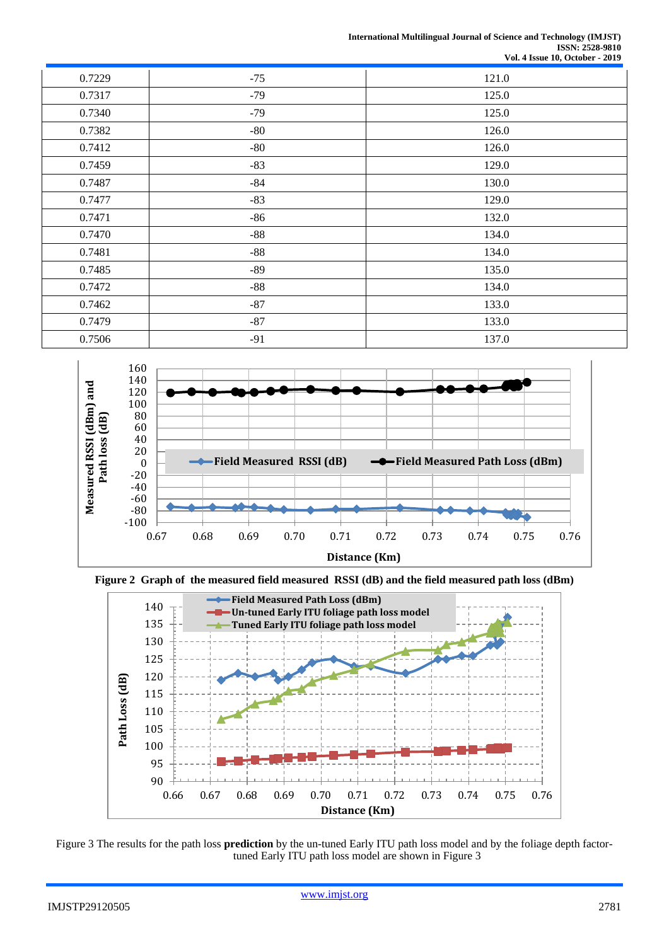| 0.7229 | $-75$ | 121.0 |
|--------|-------|-------|
| 0.7317 | $-79$ | 125.0 |
| 0.7340 | $-79$ | 125.0 |
| 0.7382 | $-80$ | 126.0 |
| 0.7412 | $-80$ | 126.0 |
| 0.7459 | $-83$ | 129.0 |
| 0.7487 | $-84$ | 130.0 |
| 0.7477 | $-83$ | 129.0 |
| 0.7471 | $-86$ | 132.0 |
| 0.7470 | $-88$ | 134.0 |
| 0.7481 | $-88$ | 134.0 |
| 0.7485 | $-89$ | 135.0 |
| 0.7472 | $-88$ | 134.0 |
| 0.7462 | $-87$ | 133.0 |
| 0.7479 | $-87$ | 133.0 |
| 0.7506 | $-91$ | 137.0 |







Figure 3 The results for the path loss **prediction** by the un-tuned Early ITU path loss model and by the foliage depth factortuned Early ITU path loss model are shown in Figure 3